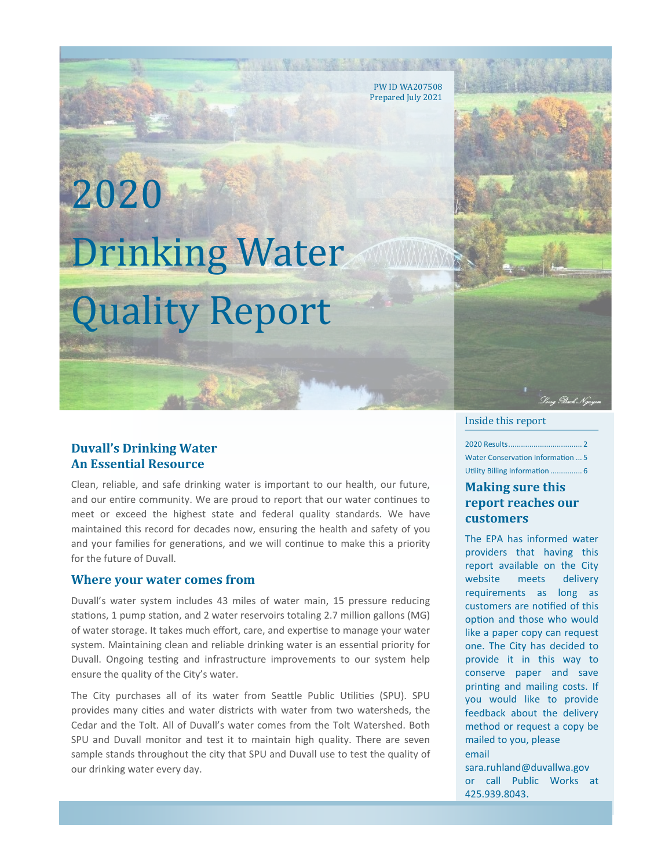PW ID WA207508 Prepared July 2021

# 2020 Drinking Water Quality Report

## **Duvall's Drinking Water An Essential Resource**

Clean, reliable, and safe drinking water is important to our health, our future, and our entire community. We are proud to report that our water continues to meet or exceed the highest state and federal quality standards. We have maintained this record for decades now, ensuring the health and safety of you and your families for generations, and we will continue to make this a priority for the future of Duvall.

#### **Where your water comes from**

Duvall's water system includes 43 miles of water main, 15 pressure reducing stations, 1 pump station, and 2 water reservoirs totaling 2.7 million gallons (MG) of water storage. It takes much effort, care, and expertise to manage your water system. Maintaining clean and reliable drinking water is an essential priority for Duvall. Ongoing testing and infrastructure improvements to our system help ensure the quality of the City's water.

The City purchases all of its water from Seattle Public Utilities (SPU). SPU provides many cities and water districts with water from two watersheds, the Cedar and the Tolt. All of Duvall's water comes from the Tolt Watershed. Both SPU and Duvall monitor and test it to maintain high quality. There are seven sample stands throughout the city that SPU and Duvall use to test the quality of our drinking water every day.

#### Inside this report

 $2020$  Results... Water Conservation Information ... 5 Utility Billing Information ............... 6

.<br>Vona Elach Na

## **Making sure this report reaches our customers**

The EPA has informed water providers that having this report available on the City website meets delivery requirements as long as customers are notified of this option and those who would like a paper copy can request one. The City has decided to provide it in this way to conserve paper and save printing and mailing costs. If you would like to provide feedback about the delivery method or request a copy be mailed to you, please email

sara.ruhland@duvallwa.gov or call Public Works at 425.939.8043.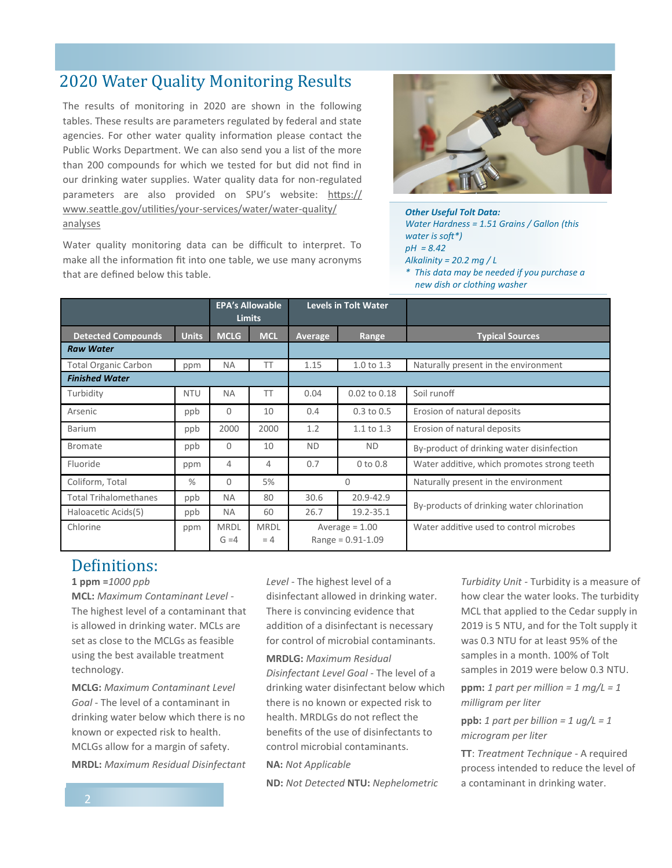# 2020 Water Quality Monitoring Results

The results of monitoring in 2020 are shown in the following tables. These results are parameters regulated by federal and state agencies. For other water quality information please contact the Public Works Department. We can also send you a list of the more than 200 compounds for which we tested for but did not find in our drinking water supplies. Water quality data for non-regulated parameters are also provided on SPU's website: [https://](https://www.seattle.gov/utilities/your-services/water/water-quality/analyses) [www.seattle.gov/utilities/your](https://www.seattle.gov/utilities/your-services/water/water-quality/analyses)-services/water/water-quality/ [analyses](https://www.seattle.gov/utilities/your-services/water/water-quality/analyses)

Water quality monitoring data can be difficult to interpret. To make all the information fit into one table, we use many acronyms that are defined below this table.



*Other Useful Tolt Data: Water Hardness = 1.51 Grains / Gallon (this water is soft\*) pH = 8.42 Alkalinity = 20.2 mg / L \* This data may be needed if you purchase a new dish or clothing washer*

|                              |              | <b>EPA's Allowable</b><br><b>Limits</b> |                      | <b>Levels in Tolt Water</b>               |                       |                                             |  |
|------------------------------|--------------|-----------------------------------------|----------------------|-------------------------------------------|-----------------------|---------------------------------------------|--|
| <b>Detected Compounds</b>    | <b>Units</b> | <b>MCLG</b>                             | <b>MCL</b>           | Average                                   | Range                 | <b>Typical Sources</b>                      |  |
| <b>Raw Water</b>             |              |                                         |                      |                                           |                       |                                             |  |
| <b>Total Organic Carbon</b>  | ppm          | <b>NA</b>                               | ТT                   | 1.15                                      | $1.0 \text{ to } 1.3$ | Naturally present in the environment        |  |
| <b>Finished Water</b>        |              |                                         |                      |                                           |                       |                                             |  |
| Turbidity                    | <b>NTU</b>   | <b>NA</b>                               | TT                   | 0.04                                      | 0.02 to 0.18          | Soil runoff                                 |  |
| Arsenic                      | ppb          | $\Omega$                                | 10                   | 0.4                                       | $0.3$ to $0.5$        | Erosion of natural deposits                 |  |
| <b>Barium</b>                | ppb          | 2000                                    | 2000                 | 1.2                                       | $1.1 \text{ to } 1.3$ | Erosion of natural deposits                 |  |
| <b>Bromate</b>               | ppb          | $\Omega$                                | 10                   | <b>ND</b>                                 | <b>ND</b>             | By-product of drinking water disinfection   |  |
| Fluoride                     | ppm          | 4                                       | 4                    | 0.7                                       | $0$ to $0.8$          | Water additive, which promotes strong teeth |  |
| Coliform, Total              | $\%$         | $\Omega$                                | 5%                   | $\Omega$                                  |                       | Naturally present in the environment        |  |
| <b>Total Trihalomethanes</b> | ppb          | <b>NA</b>                               | 80                   | 30.6                                      | 20.9-42.9             | By-products of drinking water chlorination  |  |
| Haloacetic Acids(5)          | ppb          | <b>NA</b>                               | 60                   | 26.7                                      | 19.2-35.1             |                                             |  |
| Chlorine                     | ppm          | <b>MRDL</b><br>$G = 4$                  | <b>MRDL</b><br>$= 4$ | Average $= 1.00$<br>$Range = 0.91 - 1.09$ |                       | Water additive used to control microbes     |  |

# Definitions:

#### **1 ppm =***1000 ppb*

**MCL:** *Maximum Contaminant Level -* The highest level of a contaminant that is allowed in drinking water. MCLs are set as close to the MCLGs as feasible using the best available treatment technology.

**MCLG:** *Maximum Contaminant Level Goal -* The level of a contaminant in drinking water below which there is no known or expected risk to health. MCLGs allow for a margin of safety.

**MRDL:** *Maximum Residual Disinfectant* 

*Level -* The highest level of a disinfectant allowed in drinking water. There is convincing evidence that addition of a disinfectant is necessary for control of microbial contaminants.

**MRDLG:** *Maximum Residual Disinfectant Level Goal -* The level of a drinking water disinfectant below which there is no known or expected risk to health. MRDLGs do not reflect the benefits of the use of disinfectants to control microbial contaminants.

#### **NA:** *Not Applicable*

**ND:** *Not Detected* **NTU:** *Nephelometric* 

*Turbidity Unit -* Turbidity is a measure of how clear the water looks. The turbidity MCL that applied to the Cedar supply in 2019 is 5 NTU, and for the Tolt supply it was 0.3 NTU for at least 95% of the samples in a month. 100% of Tolt samples in 2019 were below 0.3 NTU.

**ppm:** 1 part per million =  $1 \text{ mg/L} = 1$ *milligram per liter* 

**ppb:** 1 part per billion =  $1 \text{ uq/L} = 1$ *microgram per liter* 

**TT**: *Treatment Technique -* A required process intended to reduce the level of a contaminant in drinking water.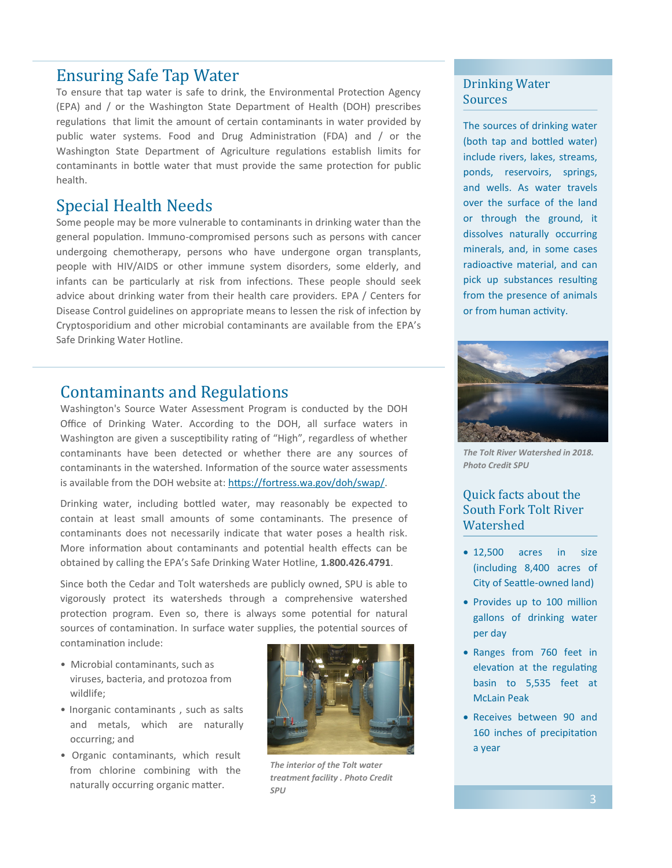## Ensuring Safe Tap Water

To ensure that tap water is safe to drink, the Environmental Protection Agency (EPA) and / or the Washington State Department of Health (DOH) prescribes regulations that limit the amount of certain contaminants in water provided by public water systems. Food and Drug Administration (FDA) and / or the Washington State Department of Agriculture regulations establish limits for contaminants in bottle water that must provide the same protection for public health.

# Special Health Needs

Some people may be more vulnerable to contaminants in drinking water than the general population. Immuno-compromised persons such as persons with cancer undergoing chemotherapy, persons who have undergone organ transplants, people with HIV/AIDS or other immune system disorders, some elderly, and infants can be particularly at risk from infections. These people should seek advice about drinking water from their health care providers. EPA / Centers for Disease Control guidelines on appropriate means to lessen the risk of infection by Cryptosporidium and other microbial contaminants are available from the EPA's Safe Drinking Water Hotline.

# Contaminants and Regulations

Washington's Source Water Assessment Program is conducted by the DOH Office of Drinking Water. According to the DOH, all surface waters in Washington are given a susceptibility rating of "High", regardless of whether contaminants have been detected or whether there are any sources of contaminants in the watershed. Information of the source water assessments is available from the DOH website at: [https://fortress.wa.gov/doh/swap/.](https://fortress.wa.gov/doh/swap/)

Drinking water, including bottled water, may reasonably be expected to contain at least small amounts of some contaminants. The presence of contaminants does not necessarily indicate that water poses a health risk. More information about contaminants and potential health effects can be obtained by calling the EPA's Safe Drinking Water Hotline, **1.800.426.4791**.

Since both the Cedar and Tolt watersheds are publicly owned, SPU is able to vigorously protect its watersheds through a comprehensive watershed protection program. Even so, there is always some potential for natural sources of contamination. In surface water supplies, the potential sources of contamination include:

- Microbial contaminants, such as viruses, bacteria, and protozoa from wildlife;
- Inorganic contaminants , such as salts and metals, which are naturally occurring; and
- Organic contaminants, which result from chlorine combining with the naturally occurring organic matter.



*The interior of the Tolt water treatment facility . Photo Credit SPU*

## Drinking Water Sources

The sources of drinking water (both tap and bottled water) include rivers, lakes, streams, ponds, reservoirs, springs, and wells. As water travels over the surface of the land or through the ground, it dissolves naturally occurring minerals, and, in some cases radioactive material, and can pick up substances resulting from the presence of animals or from human activity.



*The Tolt River Watershed in 2018. Photo Credit SPU*

## Quick facts about the South Fork Tolt River Watershed

- 12,500 acres in size (including 8,400 acres of City of Seattle-owned land)
- Provides up to 100 million gallons of drinking water per day
- Ranges from 760 feet in elevation at the regulating basin to 5,535 feet at McLain Peak
- Receives between 90 and 160 inches of precipitation a year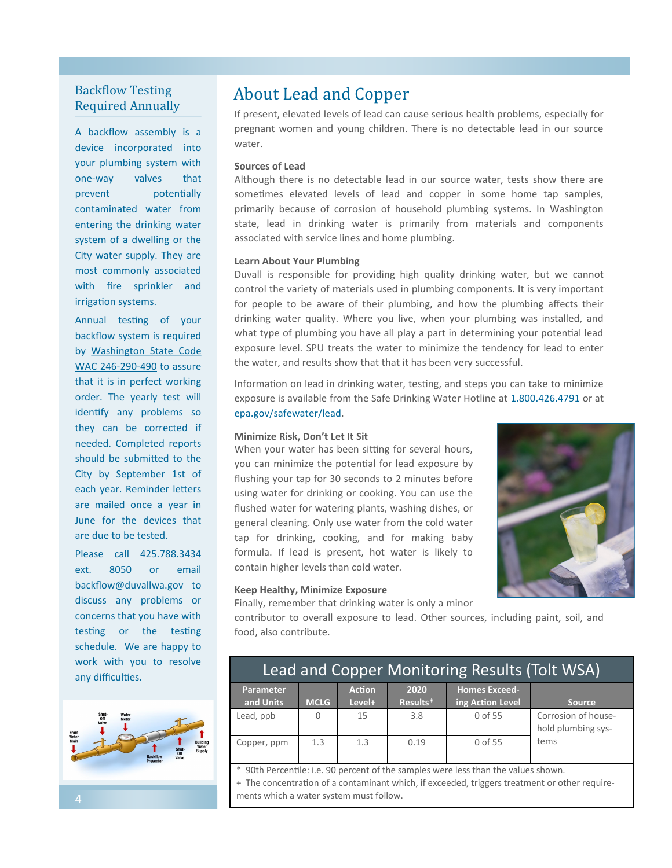## Backflow Testing Required Annually

A backflow assembly is a device incorporated into your plumbing system with one-way valves that prevent potentially contaminated water from entering the drinking water system of a dwelling or the City water supply. They are most commonly associated with fire sprinkler and irrigation systems.

Annual testing of your backflow system is required by [Washington State Code](http://wa-duvall.civicplus.com/DocumentCenter/View/319/WAC-246-290-490?bidId=)  [WAC 246](http://wa-duvall.civicplus.com/DocumentCenter/View/319/WAC-246-290-490?bidId=)-290-490 to assure that it is in perfect working order. The yearly test will identify any problems so they can be corrected if needed. Completed reports should be submitted to the City by September 1st of each year. Reminder letters are mailed once a year in June for the devices that are due to be tested.

Please call 425.788.3434 ext. 8050 or email backflow@duvallwa.gov to discuss any problems or concerns that you have with testing or the testing schedule. We are happy to work with you to resolve any difficulties.



# About Lead and Copper

If present, elevated levels of lead can cause serious health problems, especially for pregnant women and young children. There is no detectable lead in our source water.

#### **Sources of Lead**

Although there is no detectable lead in our source water, tests show there are sometimes elevated levels of lead and copper in some home tap samples, primarily because of corrosion of household plumbing systems. In Washington state, lead in drinking water is primarily from materials and components associated with service lines and home plumbing.

#### **Learn About Your Plumbing**

Duvall is responsible for providing high quality drinking water, but we cannot control the variety of materials used in plumbing components. It is very important for people to be aware of their plumbing, and how the plumbing affects their drinking water quality. Where you live, when your plumbing was installed, and what type of plumbing you have all play a part in determining your potential lead exposure level. SPU treats the water to minimize the tendency for lead to enter the water, and results show that that it has been very successful.

Information on lead in drinking water, testing, and steps you can take to minimize exposure is available from the Safe Drinking Water Hotline at 1.800.426.4791 or at epa.gov/safewater/lead.

#### **Minimize Risk, Don't Let It Sit**

When your water has been sitting for several hours, you can minimize the potential for lead exposure by flushing your tap for 30 seconds to 2 minutes before using water for drinking or cooking. You can use the flushed water for watering plants, washing dishes, or general cleaning. Only use water from the cold water tap for drinking, cooking, and for making baby formula. If lead is present, hot water is likely to contain higher levels than cold water.



#### **Keep Healthy, Minimize Exposure**

Finally, remember that drinking water is only a minor

contributor to overall exposure to lead. Other sources, including paint, soil, and food, also contribute.

| <b>Lead and Copper Monitoring Results (Tolt WSA)</b> |             |                         |                  |                                          |                                           |  |  |  |  |  |  |
|------------------------------------------------------|-------------|-------------------------|------------------|------------------------------------------|-------------------------------------------|--|--|--|--|--|--|
| Parameter<br>and Units                               | <b>MCLG</b> | <b>Action</b><br>Level+ | 2020<br>Results* | <b>Homes Exceed-</b><br>ing Action Level | <b>Source</b>                             |  |  |  |  |  |  |
| Lead, ppb                                            | 0           | 15                      | 3.8              | 0 of 55                                  | Corrosion of house-<br>hold plumbing sys- |  |  |  |  |  |  |
| Copper, ppm                                          | 1.3         | 1.3                     | 0.19             | 0 of 55                                  | tems                                      |  |  |  |  |  |  |

\* 90th Percentile: i.e. 90 percent of the samples were less than the values shown.

+ The concentration of a contaminant which, if exceeded, triggers treatment or other requirements which a water system must follow.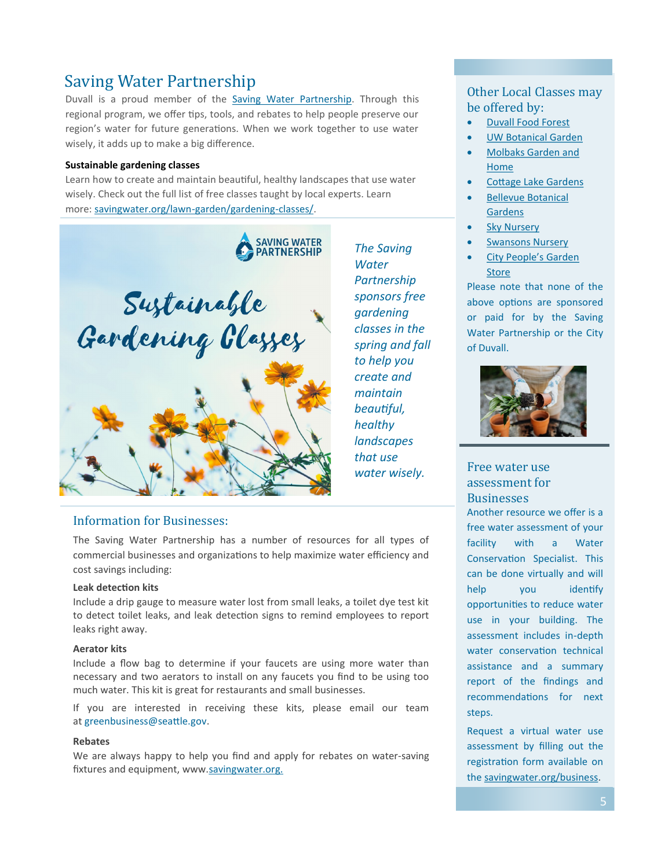# Saving Water Partnership

Duvall is a proud member of the [Saving Water Partnership.](http://www.savingwater.org/) Through this regional program, we offer tips, tools, and rebates to help people preserve our region's water for future generations. When we work together to use water wisely, it adds up to make a big difference.

#### **Sustainable gardening classes**

Learn how to create and maintain beautiful, healthy landscapes that use water wisely. Check out the full list of free classes taught by local experts. Learn more: [savingwater.org/lawn](https://www.savingwater.org/lawn-garden/gardening-classes/)-garden/gardening-classes/.



## Information for Businesses:

The Saving Water Partnership has a number of resources for all types of commercial businesses and organizations to help maximize water efficiency and cost savings including:

#### **Leak detection kits**

Include a drip gauge to measure water lost from small leaks, a toilet dye test kit to detect toilet leaks, and leak detection signs to remind employees to report leaks right away.

#### **Aerator kits**

Include a flow bag to determine if your faucets are using more water than necessary and two aerators to install on any faucets you find to be using too much water. This kit is great for restaurants and small businesses.

If you are interested in receiving these kits, please email our team at [greenbusiness@seattle.gov.](mailto:greenbusiness@seattle.gov)

### **Rebates**

We are always happy to help you find and apply for rebates on water-saving fixtures and equipment, www[.savingwater.org.](https://www.savingwater.org/businesses/)

## Other Local Classes may be offered by:

- [Duvall Food Forest](https://www.theduvallfoodforest.org/what-we-offer)
- **[UW Botanical Garden](https://botanicgardens.uw.edu/education/adults/classes-workshops/)**
- [Molbaks Garden and](https://www.molbaks.com/events-at-molbaks-garden-home/)  [Home](https://www.molbaks.com/events-at-molbaks-garden-home/)
- [Cottage Lake Gardens](http://cottagelakegardens.com/gardentalks.aspx)
- [Bellevue Botanical](https://bellevuebotanical.org/)  [Gardens](https://bellevuebotanical.org/)
- **[Sky Nursery](https://skynursery.com/classes-events/)**

*The Saving Water Partnership sponsors free gardening classes in the spring and fall to help you create and maintain beautiful, healthy landscapes that use water wisely.* 

- [Swansons Nursery](https://www.swansonsnursery.com/)
- [City People's Garden](https://citypeoples.com/gardenstore/events/)  **[Store](https://citypeoples.com/gardenstore/events/)**

Please note that none of the above options are sponsored or paid for by the Saving Water Partnership or the City of Duvall.



## Free water use assessment for **Businesses**

Another resource we offer is a free water assessment of your facility with a Water Conservation Specialist. This can be done virtually and will help you identify opportunities to reduce water use in your building. The assessment includes in-depth water conservation technical assistance and a summary report of the findings and recommendations for next steps.

Request a virtual water use assessment by filling out the registration form available on the savingwater.org/business.